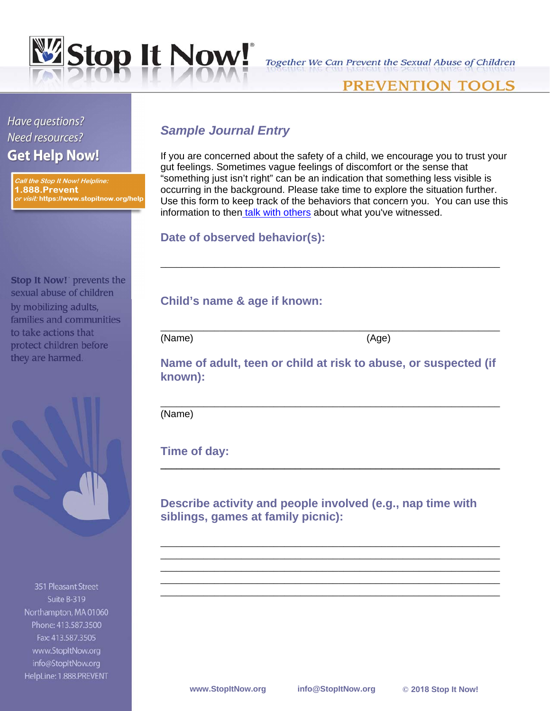

## Together We Can Prevent the Sexual Abuse of Children

# PREVENTION TOOLS

Have questions? Need resources? **Get Help Now!** 

Call the Stop It Now! Helpline: **1.888.Prevent** or visit: https://www.stopitnow.org/help

**Stop It Now! prevents the** sexual abuse of children by mobilizing adults, families and communities to take actions that protect children before they are harmed.

351 Pleasant Street Suite B-319 Northampton, MA 01060 Phone: 413,587,3500 Fax: 413.587.3505 www.StopItNow.org info@StopItNow.org HelpLine: 1.888.PREVENT

# *Sample Journal Entry*

If you are concerned about the safety of a child, we encourage you to trust your gut feelings. Sometimes vague feelings of discomfort or the sense that "something just isn't right" can be an indication that something less visible is occurring in the background. Please take time to explore the situation further. Use this form to keep track of the behaviors that concern you. You can use this information to then [talk with others](http://www.stopitnow.org/sites/stopitnow.rivervalleywebhosting.com/files/Lets_Talk.pdf) about what you've witnessed.

\_\_\_\_\_\_\_\_\_\_\_\_\_\_\_\_\_\_\_\_\_\_\_\_\_\_\_\_\_\_\_\_\_\_\_\_\_\_\_\_\_\_\_\_\_\_\_\_\_\_\_\_\_\_\_\_\_\_\_\_\_\_\_

#### **Date of observed behavior(s):**

## **Child's name & age if known:**

(Name) (Age)

**Name of adult, teen or child at risk to abuse, or suspected (if known):** 

\_\_\_\_\_\_\_\_\_\_\_\_\_\_\_\_\_\_\_\_\_\_\_\_\_\_\_\_\_\_\_\_\_\_\_\_\_\_\_\_\_\_\_\_\_\_\_\_\_\_\_\_\_\_\_\_\_\_\_\_\_\_\_

**\_\_\_\_\_\_\_\_\_\_\_\_\_\_\_\_\_\_\_\_\_\_\_\_\_\_\_\_\_\_\_\_\_\_\_\_\_\_\_\_\_\_\_\_\_\_\_\_\_\_\_\_\_\_\_\_\_\_\_\_\_\_\_**

\_\_\_\_\_\_\_\_\_\_\_\_\_\_\_\_\_\_\_\_\_\_\_\_\_\_\_\_\_\_\_\_\_\_\_\_\_\_\_\_\_\_\_\_\_\_\_\_\_\_\_\_\_\_\_\_\_\_\_\_\_\_\_ \_\_\_\_\_\_\_\_\_\_\_\_\_\_\_\_\_\_\_\_\_\_\_\_\_\_\_\_\_\_\_\_\_\_\_\_\_\_\_\_\_\_\_\_\_\_\_\_\_\_\_\_\_\_\_\_\_\_\_\_\_\_\_ \_\_\_\_\_\_\_\_\_\_\_\_\_\_\_\_\_\_\_\_\_\_\_\_\_\_\_\_\_\_\_\_\_\_\_\_\_\_\_\_\_\_\_\_\_\_\_\_\_\_\_\_\_\_\_\_\_\_\_\_\_\_\_ \_\_\_\_\_\_\_\_\_\_\_\_\_\_\_\_\_\_\_\_\_\_\_\_\_\_\_\_\_\_\_\_\_\_\_\_\_\_\_\_\_\_\_\_\_\_\_\_\_\_\_\_\_\_\_\_\_\_\_\_\_\_\_ \_\_\_\_\_\_\_\_\_\_\_\_\_\_\_\_\_\_\_\_\_\_\_\_\_\_\_\_\_\_\_\_\_\_\_\_\_\_\_\_\_\_\_\_\_\_\_\_\_\_\_\_\_\_\_\_\_\_\_\_\_\_\_

\_\_\_\_\_\_\_\_\_\_\_\_\_\_\_\_\_\_\_\_\_\_\_\_\_\_\_\_\_\_\_\_\_\_\_\_\_\_\_\_\_\_\_\_\_\_\_\_\_\_\_\_\_\_\_\_\_\_\_\_\_\_\_

(Name)

**Time of day:** 

**Describe activity and people involved (e.g., nap time with siblings, games at family picnic):**